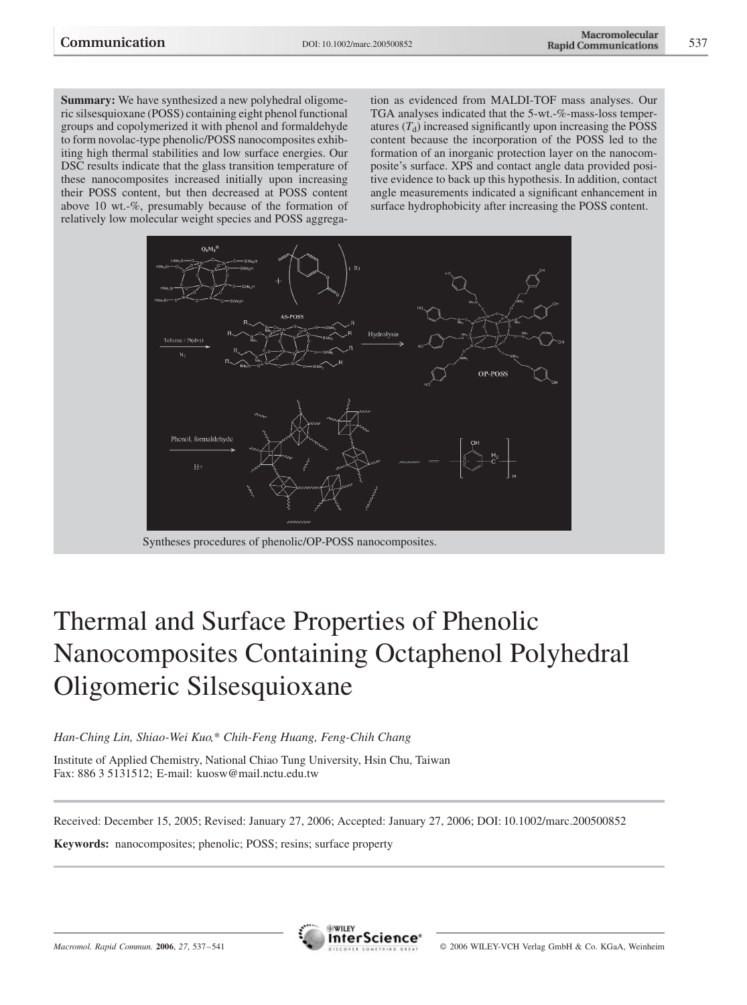Summary: We have synthesized a new polyhedral oligomeric silsesquioxane (POSS) containing eight phenol functional groups and copolymerized it with phenol and formaldehyde to form novolac-type phenolic/POSS nanocomposites exhibiting high thermal stabilities and low surface energies. Our DSC results indicate that the glass transition temperature of these nanocomposites increased initially upon increasing their POSS content, but then decreased at POSS content above 10 wt.-%, presumably because of the formation of relatively low molecular weight species and POSS aggrega-

tion as evidenced from MALDI-TOF mass analyses. Our TGA analyses indicated that the 5-wt.-%-mass-loss temperatures  $(T_d)$  increased significantly upon increasing the POSS content because the incorporation of the POSS led to the formation of an inorganic protection layer on the nanocomposite's surface. XPS and contact angle data provided positive evidence to back up this hypothesis. In addition, contact angle measurements indicated a significant enhancement in surface hydrophobicity after increasing the POSS content.



Syntheses procedures of phenolic/OP-POSS nanocomposites.

# Thermal and Surface Properties of Phenolic Nanocomposites Containing Octaphenol Polyhedral Oligomeric Silsesquioxane

Han-Ching Lin, Shiao-Wei Kuo,\* Chih-Feng Huang, Feng-Chih Chang

Institute of Applied Chemistry, National Chiao Tung University, Hsin Chu, Taiwan Fax: 886 3 5131512; E-mail: kuosw@mail.nctu.edu.tw

Received: December 15, 2005; Revised: January 27, 2006; Accepted: January 27, 2006; DOI: 10.1002/marc.200500852

Keywords: nanocomposites; phenolic; POSS; resins; surface property

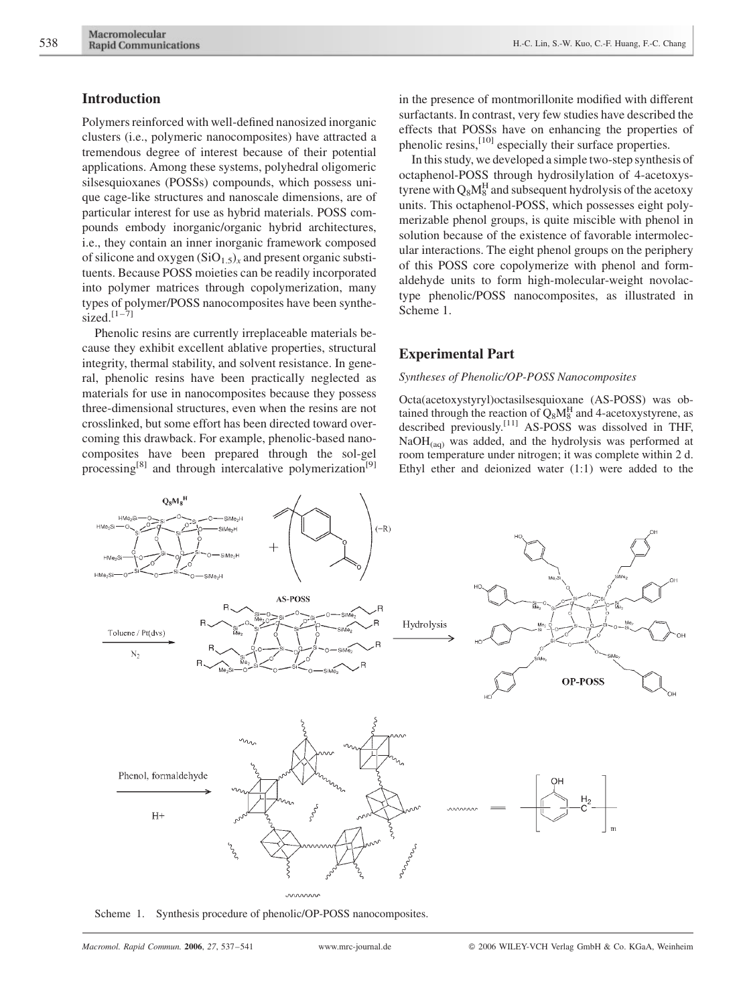## Introduction

Polymers reinforced with well-defined nanosized inorganic clusters (i.e., polymeric nanocomposites) have attracted a tremendous degree of interest because of their potential applications. Among these systems, polyhedral oligomeric silsesquioxanes (POSSs) compounds, which possess unique cage-like structures and nanoscale dimensions, are of particular interest for use as hybrid materials. POSS compounds embody inorganic/organic hybrid architectures, i.e., they contain an inner inorganic framework composed of silicone and oxygen  $(SiO_{1.5})_x$  and present organic substituents. Because POSS moieties can be readily incorporated into polymer matrices through copolymerization, many types of polymer/POSS nanocomposites have been synthesized. $[1-\overline{7}]$ 

Phenolic resins are currently irreplaceable materials because they exhibit excellent ablative properties, structural integrity, thermal stability, and solvent resistance. In general, phenolic resins have been practically neglected as materials for use in nanocomposites because they possess three-dimensional structures, even when the resins are not crosslinked, but some effort has been directed toward overcoming this drawback. For example, phenolic-based nanocomposites have been prepared through the sol-gel processing<sup>[8]</sup> and through intercalative polymerization<sup>[9]</sup> in the presence of montmorillonite modified with different surfactants. In contrast, very few studies have described the effects that POSSs have on enhancing the properties of phenolic resins,<sup>[10]</sup> especially their surface properties.

In this study, we developed a simple two-step synthesis of octaphenol-POSS through hydrosilylation of 4-acetoxystyrene with  $Q_8M_8^H$  and subsequent hydrolysis of the acetoxy units. This octaphenol-POSS, which possesses eight polymerizable phenol groups, is quite miscible with phenol in solution because of the existence of favorable intermolecular interactions. The eight phenol groups on the periphery of this POSS core copolymerize with phenol and formaldehyde units to form high-molecular-weight novolactype phenolic/POSS nanocomposites, as illustrated in Scheme 1.

## Experimental Part

### Syntheses of Phenolic/OP-POSS Nanocomposites

Octa(acetoxystyryl)octasilsesquioxane (AS-POSS) was obtained through the reaction of  $Q_8M_8^H$  and 4-acetoxystyrene, as described previously.<sup>[11]</sup> AS-POSS was dissolved in THF,  $NaOH<sub>(aa)</sub>$  was added, and the hydrolysis was performed at room temperature under nitrogen; it was complete within 2 d. Ethyl ether and deionized water (1:1) were added to the



mmm

Scheme 1. Synthesis procedure of phenolic/OP-POSS nanocomposites.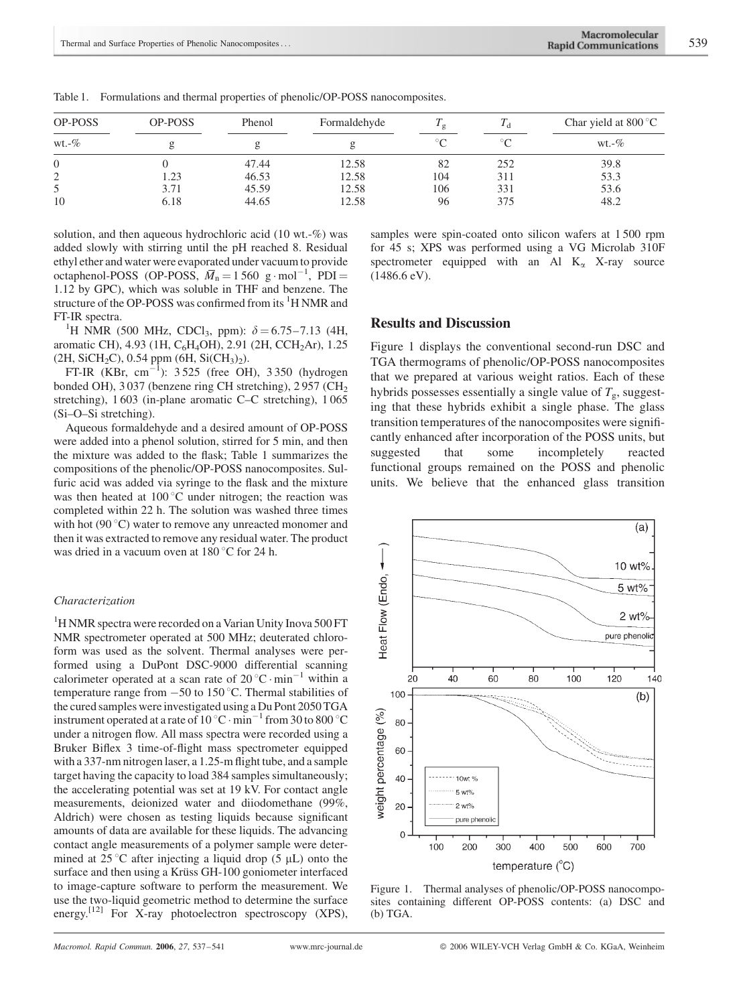| <b>OP-POSS</b> | <b>OP-POSS</b> | Phenol | Formaldehyde | $\pm \sigma$ |        | Char yield at $800^{\circ}$ C |  |
|----------------|----------------|--------|--------------|--------------|--------|-------------------------------|--|
| $wt.-\%$       |                |        |              | $\circ$      | $\sim$ | wt.-%                         |  |
| $\theta$       |                | 47.44  | 12.58        | 82           | 252    | 39.8                          |  |
| ◠              | .23            | 46.53  | 12.58        | 104          | 311    | 53.3                          |  |
|                | 3.71           | 45.59  | 12.58        | 106          | 331    | 53.6                          |  |
| 10             | 6.18           | 44.65  | 12.58        | 96           | 375    | 48.2                          |  |

Table 1. Formulations and thermal properties of phenolic/OP-POSS nanocomposites.

solution, and then aqueous hydrochloric acid (10 wt.-%) was added slowly with stirring until the pH reached 8. Residual ethyl ether and water were evaporated under vacuum to provide octaphenol-POSS (OP-POSS,  $\overline{M}_n = 1560 \text{ g} \cdot \text{mol}^{-1}$ , PDI = 1.12 by GPC), which was soluble in THF and benzene. The structure of the OP-POSS was confirmed from its <sup>1</sup>H NMR and FT-IR spectra.

<sup>1</sup>H NMR (500 MHz, CDCl<sub>3</sub>, ppm):  $\delta = 6.75 - 7.13$  (4H, aromatic CH), 4.93 (1H, C<sub>6</sub>H<sub>4</sub>OH), 2.91 (2H, CCH<sub>2</sub>Ar), 1.25  $(2H, SiCH<sub>2</sub>C), 0.54 ppm (6H, SiCH<sub>3</sub>)<sub>2</sub>).$ 

FT-IR (KBr, cm<sup>-1</sup>):  $3525$  (free OH),  $3350$  (hydrogen bonded OH), 3 037 (benzene ring CH stretching), 2 957 (CH<sub>2</sub> stretching), 1 603 (in-plane aromatic C–C stretching), 1 065 (Si–O–Si stretching).

Aqueous formaldehyde and a desired amount of OP-POSS were added into a phenol solution, stirred for 5 min, and then the mixture was added to the flask; Table 1 summarizes the compositions of the phenolic/OP-POSS nanocomposites. Sulfuric acid was added via syringe to the flask and the mixture was then heated at  $100^{\circ}$ C under nitrogen; the reaction was completed within 22 h. The solution was washed three times with hot  $(90^{\circ}C)$  water to remove any unreacted monomer and then it was extracted to remove any residual water. The product was dried in a vacuum oven at  $180^{\circ}$ C for 24 h.

#### Characterization

<sup>1</sup>H NMR spectra were recorded on a Varian Unity Inova 500 FT NMR spectrometer operated at 500 MHz; deuterated chloroform was used as the solvent. Thermal analyses were performed using a DuPont DSC-9000 differential scanning calorimeter operated at a scan rate of  $20^{\circ}$ C  $\cdot$  min<sup>-1</sup> within a temperature range from  $-50$  to 150 °C. Thermal stabilities of the cured samples were investigated using a Du Pont 2050 TGA instrument operated at a rate of  $10\,^{\circ}\text{C} \cdot \text{min}^{-1}$  from 30 to 800  $^{\circ}\text{C}$ under a nitrogen flow. All mass spectra were recorded using a Bruker Biflex 3 time-of-flight mass spectrometer equipped with a 337-nm nitrogen laser, a 1.25-m flight tube, and a sample target having the capacity to load 384 samples simultaneously; the accelerating potential was set at 19 kV. For contact angle measurements, deionized water and diiodomethane (99%, Aldrich) were chosen as testing liquids because significant amounts of data are available for these liquids. The advancing contact angle measurements of a polymer sample were determined at  $25^{\circ}$ C after injecting a liquid drop (5 µL) onto the surface and then using a Krüss GH-100 goniometer interfaced to image-capture software to perform the measurement. We use the two-liquid geometric method to determine the surface energy.<sup>[12]</sup> For X-ray photoelectron spectroscopy (XPS), samples were spin-coated onto silicon wafers at 1 500 rpm for 45 s; XPS was performed using a VG Microlab 310F spectrometer equipped with an Al  $K_{\alpha}$  X-ray source (1486.6 eV).

## Results and Discussion

Figure 1 displays the conventional second-run DSC and TGA thermograms of phenolic/OP-POSS nanocomposites that we prepared at various weight ratios. Each of these hybrids possesses essentially a single value of  $T_g$ , suggesting that these hybrids exhibit a single phase. The glass transition temperatures of the nanocomposites were significantly enhanced after incorporation of the POSS units, but suggested that some incompletely reacted functional groups remained on the POSS and phenolic units. We believe that the enhanced glass transition



Figure 1. Thermal analyses of phenolic/OP-POSS nanocomposites containing different OP-POSS contents: (a) DSC and (b) TGA.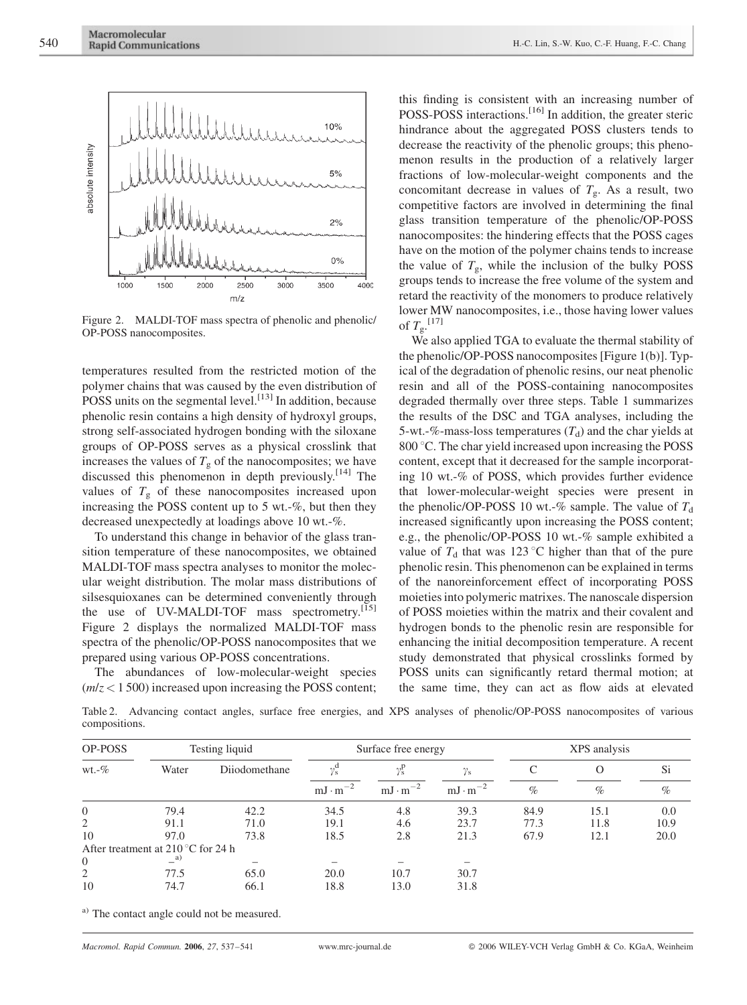

Figure 2. MALDI-TOF mass spectra of phenolic and phenolic/ OP-POSS nanocomposites.

temperatures resulted from the restricted motion of the polymer chains that was caused by the even distribution of POSS units on the segmental level. $\left[^{13} \right]$  In addition, because phenolic resin contains a high density of hydroxyl groups, strong self-associated hydrogen bonding with the siloxane groups of OP-POSS serves as a physical crosslink that increases the values of  $T_g$  of the nanocomposites; we have discussed this phenomenon in depth previously.<sup>[14]</sup> The values of  $T_g$  of these nanocomposites increased upon increasing the POSS content up to 5 wt.-%, but then they decreased unexpectedly at loadings above 10 wt.-%.

To understand this change in behavior of the glass transition temperature of these nanocomposites, we obtained MALDI-TOF mass spectra analyses to monitor the molecular weight distribution. The molar mass distributions of silsesquioxanes can be determined conveniently through the use of UV-MALDI-TOF mass spectrometry.<sup>[15]</sup> Figure 2 displays the normalized MALDI-TOF mass spectra of the phenolic/OP-POSS nanocomposites that we prepared using various OP-POSS concentrations.

The abundances of low-molecular-weight species  $(m/z < 1500)$  increased upon increasing the POSS content;

this finding is consistent with an increasing number of POSS-POSS interactions.<sup>[16]</sup> In addition, the greater steric hindrance about the aggregated POSS clusters tends to decrease the reactivity of the phenolic groups; this phenomenon results in the production of a relatively larger fractions of low-molecular-weight components and the concomitant decrease in values of  $T_g$ . As a result, two competitive factors are involved in determining the final glass transition temperature of the phenolic/OP-POSS nanocomposites: the hindering effects that the POSS cages have on the motion of the polymer chains tends to increase the value of  $T_{\rm g}$ , while the inclusion of the bulky POSS groups tends to increase the free volume of the system and retard the reactivity of the monomers to produce relatively lower MW nanocomposites, i.e., those having lower values of  $T_{\rm g}$ .<sup>[17]</sup>

We also applied TGA to evaluate the thermal stability of the phenolic/OP-POSS nanocomposites [Figure 1(b)]. Typical of the degradation of phenolic resins, our neat phenolic resin and all of the POSS-containing nanocomposites degraded thermally over three steps. Table 1 summarizes the results of the DSC and TGA analyses, including the 5-wt.-%-mass-loss temperatures  $(T_d)$  and the char yields at 800 °C. The char yield increased upon increasing the POSS content, except that it decreased for the sample incorporating 10 wt.-% of POSS, which provides further evidence that lower-molecular-weight species were present in the phenolic/OP-POSS 10 wt.-% sample. The value of  $T_d$ increased significantly upon increasing the POSS content; e.g., the phenolic/OP-POSS 10 wt.-% sample exhibited a value of  $T_d$  that was 123 °C higher than that of the pure phenolic resin. This phenomenon can be explained in terms of the nanoreinforcement effect of incorporating POSS moieties into polymeric matrixes. The nanoscale dispersion of POSS moieties within the matrix and their covalent and hydrogen bonds to the phenolic resin are responsible for enhancing the initial decomposition temperature. A recent study demonstrated that physical crosslinks formed by POSS units can significantly retard thermal motion; at the same time, they can act as flow aids at elevated

Table 2. Advancing contact angles, surface free energies, and XPS analyses of phenolic/OP-POSS nanocomposites of various compositions.

| OP-POSS                                     | Testing liquid         |               | Surface free energy      |                          |                   | XPS analysis |      |      |
|---------------------------------------------|------------------------|---------------|--------------------------|--------------------------|-------------------|--------------|------|------|
| $wt.-\%$                                    | Water                  | Diiodomethane | $\gamma_{\rm s}^{\rm u}$ | $\gamma_{\rm s}^{\rm p}$ | $\gamma_{\rm s}$  |              | O    | Si.  |
|                                             |                        |               | $mJ \cdot m^{-2}$        | $mJ \cdot m^{-2}$        | $mJ \cdot m^{-2}$ | $\%$         | $\%$ | $\%$ |
| $\overline{0}$                              | 79.4                   | 42.2          | 34.5                     | 4.8                      | 39.3              | 84.9         | 15.1 | 0.0  |
| 2                                           | 91.1                   | 71.0          | 19.1                     | 4.6                      | 23.7              | 77.3         | 11.8 | 10.9 |
| 10                                          | 97.0                   | 73.8          | 18.5                     | 2.8                      | 21.3              | 67.9         | 12.1 | 20.0 |
| After treatment at 210 $\degree$ C for 24 h |                        |               |                          |                          |                   |              |      |      |
| $\overline{0}$                              | $\equiv$ <sup>a)</sup> |               |                          |                          |                   |              |      |      |
| 2                                           | 77.5                   | 65.0          | 20.0                     | 10.7                     | 30.7              |              |      |      |
| 10                                          | 74.7                   | 66.1          | 18.8                     | 13.0                     | 31.8              |              |      |      |

a) The contact angle could not be measured.